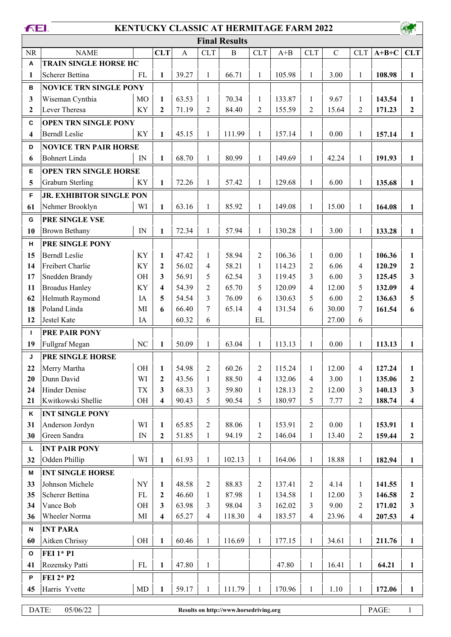| <b>FEL</b>              |                                 |              |                         |              |                | <b>KENTUCKY CLASSIC AT HERMITAGE FARM 2022</b> |                          |              |                |              |                         |         |                         |
|-------------------------|---------------------------------|--------------|-------------------------|--------------|----------------|------------------------------------------------|--------------------------|--------------|----------------|--------------|-------------------------|---------|-------------------------|
|                         | <b>Final Results</b>            |              |                         |              |                |                                                |                          |              |                |              |                         |         |                         |
| <b>NR</b>               | <b>NAME</b>                     |              | <b>CLT</b>              | $\mathbf{A}$ | <b>CLT</b>     | $\, {\bf B}$                                   | <b>CLT</b>               | $A + B$      | <b>CLT</b>     | $\mathbf C$  | <b>CLT</b>              | $A+B+C$ | <b>CLT</b>              |
| A                       | <b>TRAIN SINGLE HORSE HC</b>    |              |                         |              |                |                                                |                          |              |                |              |                         |         |                         |
| 1                       | Scherer Bettina                 | FL           | $\mathbf{1}$            | 39.27        | $\mathbf{1}$   | 66.71                                          | $\mathbf{1}$             | 105.98       | $\mathbf{1}$   | 3.00         | 1                       | 108.98  | $\mathbf{1}$            |
| в                       | <b>NOVICE TRN SINGLE PONY</b>   |              |                         |              |                |                                                |                          |              |                |              |                         |         |                         |
| 3                       | Wiseman Cynthia                 | <b>MO</b>    | $\mathbf{1}$            | 63.53        | $\mathbf{1}$   | 70.34                                          | $\mathbf{1}$             | 133.87       | $\mathbf{1}$   | 9.67         | 1                       | 143.54  | $\mathbf{1}$            |
| $\boldsymbol{2}$        | Lever Theresa                   | KY           | $\mathbf{2}$            | 71.19        | 2              | 84.40                                          | 2                        | 155.59       | $\overline{2}$ | 15.64        | $\overline{2}$          | 171.23  | $\mathbf{2}$            |
| $\mathbf{C}$            | <b>OPEN TRN SINGLE PONY</b>     |              |                         |              |                |                                                |                          |              |                |              |                         |         |                         |
| $\overline{\mathbf{4}}$ | <b>Berndl</b> Leslie            | KY           | $\mathbf{1}$            | 45.15        | $\mathbf{1}$   | 111.99                                         | $\mathbf{1}$             | 157.14       | $\mathbf{1}$   | 0.00         | $\mathbf{1}$            | 157.14  | $\mathbf{1}$            |
| D                       | <b>NOVICE TRN PAIR HORSE</b>    |              |                         |              |                |                                                |                          |              |                |              |                         |         |                         |
| 6                       | <b>Bohnert Linda</b>            | $\mathbf{1}$ | 68.70                   | $\mathbf{1}$ | 80.99          | $\mathbf{1}$                                   | 149.69                   | $\mathbf{1}$ | 42.24          | $\mathbf{1}$ | 191.93                  | 1       |                         |
| Е                       | <b>OPEN TRN SINGLE HORSE</b>    | IN           |                         |              |                |                                                |                          |              |                |              |                         |         |                         |
| 5                       | <b>Graburn Sterling</b>         | KY           | $\mathbf{1}$            | 72.26        | $\mathbf{1}$   | 57.42                                          | $\mathbf{1}$             | 129.68       | $\mathbf{1}$   | 6.00         | $\mathbf{1}$            | 135.68  | $\mathbf{1}$            |
|                         |                                 |              |                         |              |                |                                                |                          |              |                |              |                         |         |                         |
| F                       | <b>JR. EXHIBITOR SINGLE PON</b> |              |                         |              |                |                                                |                          |              |                |              |                         |         |                         |
| 61                      | Nehmer Brooklyn                 | WI           | $\mathbf{1}$            | 63.16        | $\mathbf{1}$   | 85.92                                          | $\mathbf{1}$             | 149.08       | $\mathbf{1}$   | 15.00        | $\mathbf{1}$            | 164.08  | $\mathbf{1}$            |
| G                       | PRE SINGLE VSE                  |              |                         |              |                |                                                |                          |              |                |              |                         |         |                         |
| 10                      | <b>Brown Bethany</b>            | IN           | $\mathbf{1}$            | 72.34        | $\mathbf{1}$   | 57.94                                          | $\mathbf{1}$             | 130.28       | $\mathbf{1}$   | 3.00         | $\mathbf{1}$            | 133.28  | $\mathbf{1}$            |
| н                       | PRE SINGLE PONY                 |              |                         |              |                |                                                |                          |              |                |              |                         |         |                         |
| 15                      | <b>Berndl</b> Leslie            | KY           | $\mathbf{1}$            | 47.42        | 1              | 58.94                                          | $\overline{2}$           | 106.36       | $\mathbf{1}$   | 0.00         | 1                       | 106.36  | $\mathbf{1}$            |
| 14                      | Freibert Charlie                | KY           | $\mathbf{2}$            | 56.02        | 4              | 58.21                                          | $\mathbf{1}$             | 114.23       | $\overline{c}$ | 6.06         | 4                       | 120.29  | $\mathbf{2}$            |
| 17                      | Snedden Brandy                  | <b>OH</b>    | 3                       | 56.91        | 5              | 62.54                                          | 3                        | 119.45       | 3              | 6.00         | 3                       | 125.45  | 3                       |
| 11                      | <b>Broadus Hanley</b>           | KY           | $\overline{\mathbf{4}}$ | 54.39        | $\overline{2}$ | 65.70                                          | 5                        | 120.09       | 4              | 12.00        | 5                       | 132.09  | $\overline{\mathbf{4}}$ |
| 62                      | Helmuth Raymond                 | IA           | 5                       | 54.54        | 3              | 76.09                                          | 6                        | 130.63       | 5              | 6.00         | $\overline{2}$          | 136.63  | 5                       |
| 18                      | Poland Linda                    | MI           | 6                       | 66.40        | 7              | 65.14                                          | $\overline{4}$           | 131.54       | 6              | 30.00        | 7                       | 161.54  | 6                       |
| 12                      | Jestel Kate                     | IA           |                         | 60.32        | 6              |                                                | EL                       |              |                | 27.00        | 6                       |         |                         |
| L                       | PRE PAIR PONY                   |              |                         |              |                |                                                |                          |              |                |              |                         |         |                         |
| 19                      | Fullgraf Megan                  | NC           | $\mathbf{1}$            | 50.09        | $\mathbf{1}$   | 63.04                                          | $\mathbf{1}$             | 113.13       | $\mathbf{1}$   | 0.00         | $\mathbf{1}$            | 113.13  | $\mathbf{1}$            |
| J                       | PRE SINGLE HORSE                |              |                         |              |                |                                                |                          |              |                |              |                         |         |                         |
| 22                      | Merry Martha                    | OH           | $\mathbf{1}$            | 54.98        | $\mathfrak{2}$ | 60.26                                          | $\boldsymbol{2}$         | 115.24       | 1              | 12.00        | 4                       | 127.24  | $\mathbf{1}$            |
| 20                      | Dunn David                      | WI           | $\overline{2}$          | 43.56        | 1              | 88.50                                          | $\overline{\mathcal{A}}$ | 132.06       | $\overline{4}$ | 3.00         | 1                       | 135.06  | $\boldsymbol{2}$        |
| 24                      | <b>Hinder Denise</b>            | <b>TX</b>    | $\mathbf{3}$            | 68.33        | 3              | 59.80                                          | $\mathbf{1}$             | 128.13       | $\overline{c}$ | 12.00        | 3                       | 140.13  | 3                       |
| 21                      | Kwitkowski Shellie              | OH           | $\overline{\mathbf{4}}$ | 90.43        | 5              | 90.54                                          | 5                        | 180.97       | 5              | 7.77         | $\overline{c}$          | 188.74  | $\overline{\mathbf{4}}$ |
| Κ                       | <b>INT SINGLE PONY</b>          |              |                         |              |                |                                                |                          |              |                |              |                         |         |                         |
| 31                      | Anderson Jordyn                 | WI           | $\mathbf{1}$            | 65.85        | 2              | 88.06                                          | $\mathbf{1}$             | 153.91       | $\sqrt{2}$     | 0.00         | 1                       | 153.91  | $\mathbf{1}$            |
| 30                      | Green Sandra                    | IN           | $\boldsymbol{2}$        | 51.85        | $\mathbf{1}$   | 94.19                                          | $\overline{c}$           | 146.04       | $\mathbf{1}$   | 13.40        | $\overline{c}$          | 159.44  | $\boldsymbol{2}$        |
| Г                       | <b>INT PAIR PONY</b>            |              |                         |              |                |                                                |                          |              |                |              |                         |         |                         |
| 32                      | Odden Phillip                   | WI           | $\mathbf{1}$            | 61.93        | $\mathbf{1}$   | 102.13                                         | $\mathbf{1}$             | 164.06       | $\mathbf{1}$   | 18.88        | $\mathbf{1}$            | 182.94  | $\mathbf{1}$            |
| M                       | <b>INT SINGLE HORSE</b>         |              |                         |              |                |                                                |                          |              |                |              |                         |         |                         |
| 33                      | Johnson Michele                 | <b>NY</b>    | $\mathbf{1}$            | 48.58        | 2              | 88.83                                          | $\overline{c}$           | 137.41       | $\overline{2}$ | 4.14         | $\mathbf{1}$            | 141.55  | $\mathbf{1}$            |
| 35                      | Scherer Bettina                 | ${\rm FL}$   | $\boldsymbol{2}$        | 46.60        | $\mathbf{1}$   | 87.98                                          | $\mathbf{1}$             | 134.58       | $\mathbf{1}$   | 12.00        | 3                       | 146.58  | $\boldsymbol{2}$        |
| 34                      | Vance Bob                       | OH           | $\mathbf{3}$            | 63.98        | 3              | 98.04                                          | 3                        | 162.02       | 3              | 9.00         | $\overline{c}$          | 171.02  | 3                       |
| 36                      | Wheeler Norma                   | MI           | $\overline{\mathbf{4}}$ | 65.27        | 4              | 118.30                                         | $\overline{\mathcal{A}}$ | 183.57       | $\overline{4}$ | 23.96        | $\overline{\mathbf{4}}$ | 207.53  | $\overline{\mathbf{4}}$ |
| N                       | <b>INT PARA</b>                 |              |                         |              |                |                                                |                          |              |                |              |                         |         |                         |
| 60                      | Aitken Chrissy                  | OH           | $\mathbf{1}$            | 60.46        | $\mathbf{1}$   | 116.69                                         | $\,1$                    | 177.15       | $\mathbf{1}$   | 34.61        | $\mathbf{1}$            | 211.76  | $\mathbf{1}$            |
| $\mathsf{o}$            | <b>FEI 1* P1</b>                |              |                         |              |                |                                                |                          |              |                |              |                         |         |                         |
| 41                      | Rozensky Patti                  | ${\rm FL}$   | $\mathbf{1}$            | 47.80        | $\mathbf{1}$   |                                                |                          | 47.80        | $\mathbf{1}$   | 16.41        | $\mathbf{1}$            | 64.21   | $\mathbf{1}$            |
| P                       | FEI 2* P2                       |              |                         |              |                |                                                |                          |              |                |              |                         |         |                         |
| 45                      | Harris Yvette                   | $\rm MD$     | $\mathbf{1}$            | 59.17        | $\mathbf{1}$   | 111.79                                         | $\mathbf{1}$             | 170.96       | $\mathbf{1}$   | 1.10         | $\mathbf{1}$            | 172.06  | $\mathbf{1}$            |
|                         |                                 |              |                         |              |                |                                                |                          |              |                |              |                         |         |                         |